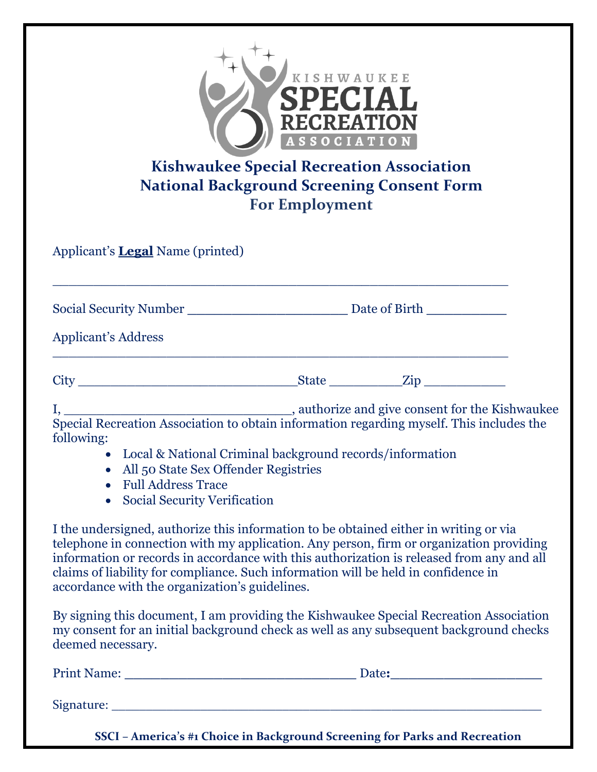| KISHWAUKEE<br>SPECIAL<br><b>RECREATION</b><br><b>ASSOCIATION</b><br><b>Kishwaukee Special Recreation Association</b><br><b>National Background Screening Consent Form</b><br><b>For Employment</b>                                                                                                                                                                                                                    |  |                                                                             |
|-----------------------------------------------------------------------------------------------------------------------------------------------------------------------------------------------------------------------------------------------------------------------------------------------------------------------------------------------------------------------------------------------------------------------|--|-----------------------------------------------------------------------------|
| Applicant's <b>Legal</b> Name (printed)                                                                                                                                                                                                                                                                                                                                                                               |  |                                                                             |
|                                                                                                                                                                                                                                                                                                                                                                                                                       |  |                                                                             |
| <b>Applicant's Address</b>                                                                                                                                                                                                                                                                                                                                                                                            |  |                                                                             |
| $City$ $City$ $Right$ $Zip$                                                                                                                                                                                                                                                                                                                                                                                           |  |                                                                             |
| following:<br>Local & National Criminal background records/information<br>All 50 State Sex Offender Registries<br>$\bullet$<br><b>Full Address Trace</b><br>$\bullet$<br><b>Social Security Verification</b><br>$\bullet$                                                                                                                                                                                             |  |                                                                             |
| I the undersigned, authorize this information to be obtained either in writing or via<br>telephone in connection with my application. Any person, firm or organization providing<br>information or records in accordance with this authorization is released from any and all<br>claims of liability for compliance. Such information will be held in confidence in<br>accordance with the organization's guidelines. |  |                                                                             |
| By signing this document, I am providing the Kishwaukee Special Recreation Association<br>my consent for an initial background check as well as any subsequent background checks<br>deemed necessary.                                                                                                                                                                                                                 |  |                                                                             |
|                                                                                                                                                                                                                                                                                                                                                                                                                       |  |                                                                             |
|                                                                                                                                                                                                                                                                                                                                                                                                                       |  | SSCI - America's #1 Choice in Background Screening for Parks and Recreation |